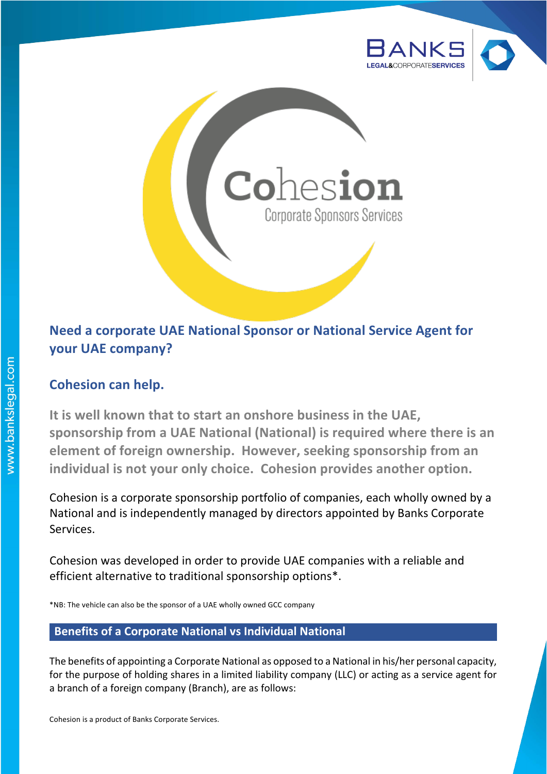



# **Need a corporate UAE National Sponsor or National Service Agent for your UAE company?**

# **Cohesion can help.**

It is well known that to start an onshore business in the UAE, sponsorship from a UAE National (National) is required where there is an **element of foreign ownership. However, seeking sponsorship from an** individual is not your only choice. Cohesion provides another option.

Cohesion is a corporate sponsorship portfolio of companies, each wholly owned by a National and is independently managed by directors appointed by Banks Corporate Services. 

Cohesion was developed in order to provide UAE companies with a reliable and efficient alternative to traditional sponsorship options\*.

\*NB: The vehicle can also be the sponsor of a UAE wholly owned GCC company

### **Benefits of a Corporate National vs Individual National**

The benefits of appointing a Corporate National as opposed to a National in his/her personal capacity, for the purpose of holding shares in a limited liability company (LLC) or acting as a service agent for a branch of a foreign company (Branch), are as follows:

Cohesion is a product of Banks Corporate Services.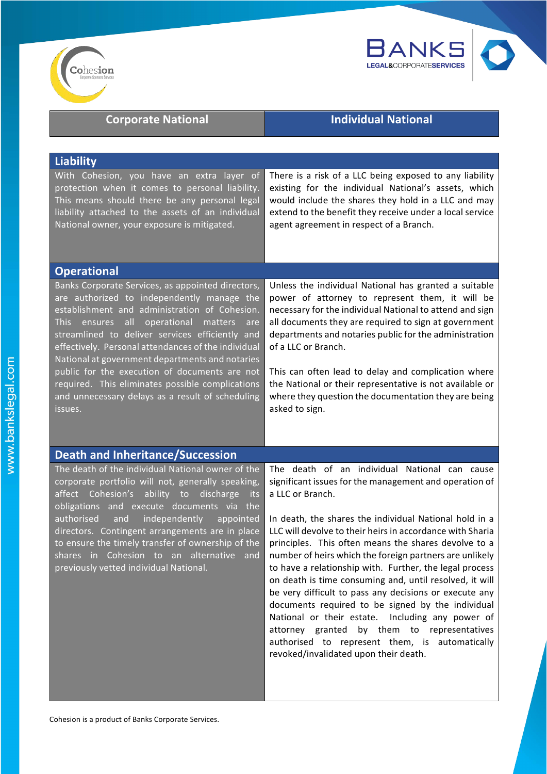



|  |  | <b>Corporate National</b> |
|--|--|---------------------------|
|--|--|---------------------------|

# **Individual National**

| <b>Liability</b>                                                                                                                                                                                                                                                                                                                                                                                                                                                                                                                                     |                                                                                                                                                                                                                                                                                                                                                                                                                                                                                                             |  |
|------------------------------------------------------------------------------------------------------------------------------------------------------------------------------------------------------------------------------------------------------------------------------------------------------------------------------------------------------------------------------------------------------------------------------------------------------------------------------------------------------------------------------------------------------|-------------------------------------------------------------------------------------------------------------------------------------------------------------------------------------------------------------------------------------------------------------------------------------------------------------------------------------------------------------------------------------------------------------------------------------------------------------------------------------------------------------|--|
| With Cohesion, you have an extra layer of<br>protection when it comes to personal liability.<br>This means should there be any personal legal<br>liability attached to the assets of an individual<br>National owner, your exposure is mitigated.                                                                                                                                                                                                                                                                                                    | There is a risk of a LLC being exposed to any liability<br>existing for the individual National's assets, which<br>would include the shares they hold in a LLC and may<br>extend to the benefit they receive under a local service<br>agent agreement in respect of a Branch.                                                                                                                                                                                                                               |  |
| <b>Operational</b>                                                                                                                                                                                                                                                                                                                                                                                                                                                                                                                                   |                                                                                                                                                                                                                                                                                                                                                                                                                                                                                                             |  |
| Banks Corporate Services, as appointed directors,<br>are authorized to independently manage the<br>establishment and administration of Cohesion.<br> a  <br>operational<br><b>This</b><br>ensures<br>matters<br>are<br>streamlined to deliver services efficiently and<br>effectively. Personal attendances of the individual<br>National at government departments and notaries<br>public for the execution of documents are not<br>required. This eliminates possible complications<br>and unnecessary delays as a result of scheduling<br>issues. | Unless the individual National has granted a suitable<br>power of attorney to represent them, it will be<br>necessary for the individual National to attend and sign<br>all documents they are required to sign at government<br>departments and notaries public for the administration<br>of a LLC or Branch.<br>This can often lead to delay and complication where<br>the National or their representative is not available or<br>where they question the documentation they are being<br>asked to sign. |  |
| <b>Death and Inheritance/Succession</b>                                                                                                                                                                                                                                                                                                                                                                                                                                                                                                              |                                                                                                                                                                                                                                                                                                                                                                                                                                                                                                             |  |
| The death of the individual National owner of the<br>corporate portfolio will not, generally speaking,<br>affect Cohesion's ability to discharge<br><b>its</b><br>obligations and execute documents via<br>the                                                                                                                                                                                                                                                                                                                                       | The death of an individual National can cause<br>significant issues for the management and operation of<br>a LLC or Branch.                                                                                                                                                                                                                                                                                                                                                                                 |  |
| authorised<br>independently<br>appointed<br>and<br>directors. Contingent arrangements are in place<br>to ensure the timely transfer of ownership of the<br>shares in Cohesion to an alternative and<br>previously vetted individual National.                                                                                                                                                                                                                                                                                                        | In death, the shares the individual National hold in a<br>LLC will devolve to their heirs in accordance with Sharia<br>principles. This often means the shares devolve to a<br>number of heirs which the foreign partners are unlikely<br>to have a relationship with. Further, the legal process<br>on death is time consuming and, until resolved, it will<br>be very difficult to pass any decisions or execute any<br>documents required to be signed by the individual                                 |  |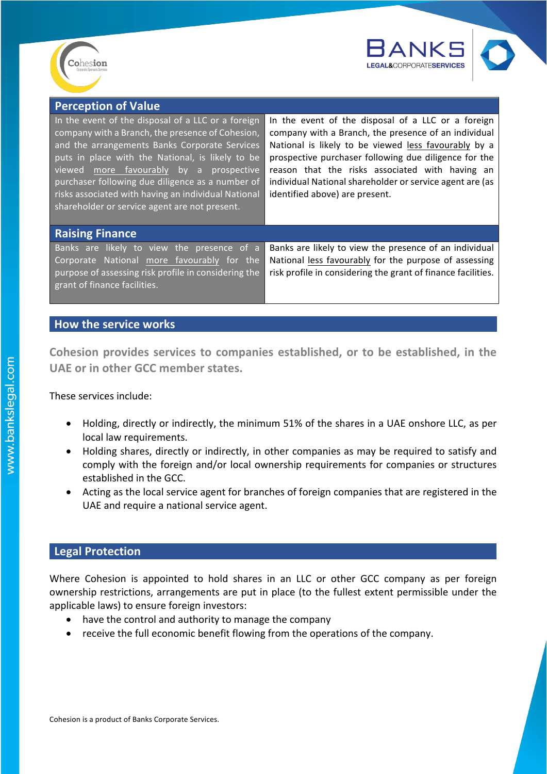



| <b>Perception of Value</b>                                                                                                                                                                                                                                                                                                                                                                                         |                                                                                                                                                                                                                                                                                                                                                                              |
|--------------------------------------------------------------------------------------------------------------------------------------------------------------------------------------------------------------------------------------------------------------------------------------------------------------------------------------------------------------------------------------------------------------------|------------------------------------------------------------------------------------------------------------------------------------------------------------------------------------------------------------------------------------------------------------------------------------------------------------------------------------------------------------------------------|
| In the event of the disposal of a LLC or a foreign<br>company with a Branch, the presence of Cohesion,<br>and the arrangements Banks Corporate Services<br>puts in place with the National, is likely to be<br>viewed more favourably by a prospective<br>purchaser following due diligence as a number of<br>risks associated with having an individual National<br>shareholder or service agent are not present. | In the event of the disposal of a LLC or a foreign<br>company with a Branch, the presence of an individual<br>National is likely to be viewed less favourably by a<br>prospective purchaser following due diligence for the<br>reason that the risks associated with having an<br>individual National shareholder or service agent are (as<br>identified above) are present. |
| <b>Raising Finance</b>                                                                                                                                                                                                                                                                                                                                                                                             |                                                                                                                                                                                                                                                                                                                                                                              |
| Banks are likely to view the presence of a<br>Corporate National more favourably for the<br>purpose of assessing risk profile in considering the<br>grant of finance facilities.                                                                                                                                                                                                                                   | Banks are likely to view the presence of an individual<br>National less favourably for the purpose of assessing<br>risk profile in considering the grant of finance facilities.                                                                                                                                                                                              |

### **How the service works**

Cohesion provides services to companies established, or to be established, in the UAE or in other GCC member states.

These services include:

- Holding, directly or indirectly, the minimum 51% of the shares in a UAE onshore LLC, as per local law requirements.
- Holding shares, directly or indirectly, in other companies as may be required to satisfy and comply with the foreign and/or local ownership requirements for companies or structures established in the GCC.
- Acting as the local service agent for branches of foreign companies that are registered in the UAE and require a national service agent.

## **Legal Protection**

Where Cohesion is appointed to hold shares in an LLC or other GCC company as per foreign ownership restrictions, arrangements are put in place (to the fullest extent permissible under the applicable laws) to ensure foreign investors:

- have the control and authority to manage the company
- receive the full economic benefit flowing from the operations of the company.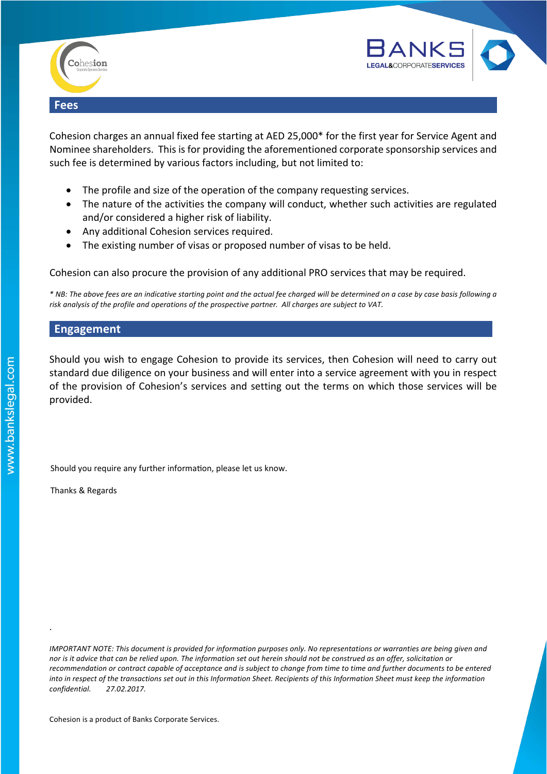



Cohesion charges an annual fixed fee starting at AED 25,000\* for the first year for Service Agent and Nominee shareholders. This is for providing the aforementioned corporate sponsorship services and such fee is determined by various factors including, but not limited to:

- The profile and size of the operation of the company requesting services.
- The nature of the activities the company will conduct, whether such activities are regulated and/or considered a higher risk of liability.
- Any additional Cohesion services required.
- The existing number of visas or proposed number of visas to be held.

Cohesion can also procure the provision of any additional PRO services that may be required.

*\* NB: The above fees are an indicative starting point and the actual fee charged will be determined on a case by case basis following a* risk analysis of the profile and operations of the prospective partner. All charges are subject to VAT.

#### **Engagement**

Should you wish to engage Cohesion to provide its services, then Cohesion will need to carry out standard due diligence on your business and will enter into a service agreement with you in respect of the provision of Cohesion's services and setting out the terms on which those services will be provided. 

Should you require any further information, please let us know.

Thanks & Regards

.

*IMPORTANT NOTE: This document is provided for information purposes only. No representations or warranties are being given and nor* is it advice that can be relied upon. The information set out herein should not be construed as an offer, solicitation or recommendation or contract capable of acceptance and is subject to change from time to time and further documents to be entered into in respect of the transactions set out in this Information Sheet. Recipients of this Information Sheet must keep the information *confidential. 27.02.2017.*

Cohesion is a product of Banks Corporate Services.